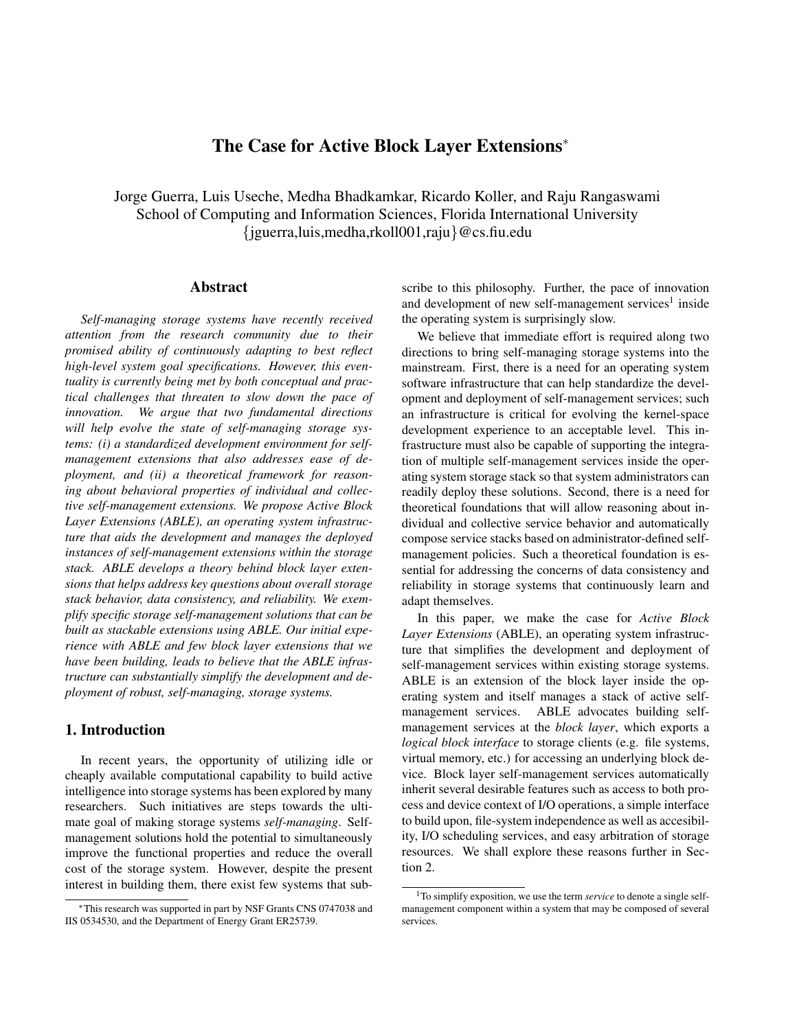# **The Case for Active Block Layer Extensions**<sup>∗</sup>

Jorge Guerra, Luis Useche, Medha Bhadkamkar, Ricardo Koller, and Raju Rangaswami School of Computing and Information Sciences, Florida International University {jguerra,luis,medha,rkoll001,raju}@cs.fiu.edu

### **Abstract**

*Self-managing storage systems have recently received attention from the research community due to their promised ability of continuously adapting to best reflect high-level system goal specifications. However, this eventuality is currently being met by both conceptual and practical challenges that threaten to slow down the pace of innovation. We argue that two fundamental directions will help evolve the state of self-managing storage systems: (i) a standardized development environment for selfmanagement extensions that also addresses ease of deployment, and (ii) a theoretical framework for reasoning about behavioral properties of individual and collective self-management extensions. We propose Active Block Layer Extensions (ABLE), an operating system infrastructure that aids the development and manages the deployed instances of self-management extensions within the storage stack. ABLE develops a theory behind block layer extensions that helps address key questions about overall storage stack behavior, data consistency, and reliability. We exemplify specific storage self-management solutions that can be built as stackable extensions using ABLE. Our initial experience with ABLE and few block layer extensions that we have been building, leads to believe that the ABLE infrastructure can substantially simplify the development and deployment of robust, self-managing, storage systems.*

# **1. Introduction**

In recent years, the opportunity of utilizing idle or cheaply available computational capability to build active intelligence into storage systems has been explored by many researchers. Such initiatives are steps towards the ultimate goal of making storage systems *self-managing*. Selfmanagement solutions hold the potential to simultaneously improve the functional properties and reduce the overall cost of the storage system. However, despite the present interest in building them, there exist few systems that subscribe to this philosophy. Further, the pace of innovation and development of new self-management services<sup>1</sup> inside the operating system is surprisingly slow.

We believe that immediate effort is required along two directions to bring self-managing storage systems into the mainstream. First, there is a need for an operating system software infrastructure that can help standardize the development and deployment of self-management services; such an infrastructure is critical for evolving the kernel-space development experience to an acceptable level. This infrastructure must also be capable of supporting the integration of multiple self-management services inside the operating system storage stack so that system administrators can readily deploy these solutions. Second, there is a need for theoretical foundations that will allow reasoning about individual and collective service behavior and automatically compose service stacks based on administrator-defined selfmanagement policies. Such a theoretical foundation is essential for addressing the concerns of data consistency and reliability in storage systems that continuously learn and adapt themselves.

In this paper, we make the case for *Active Block Layer Extensions* (ABLE), an operating system infrastructure that simplifies the development and deployment of self-management services within existing storage systems. ABLE is an extension of the block layer inside the operating system and itself manages a stack of active selfmanagement services. ABLE advocates building selfmanagement services at the *block layer*, which exports a *logical block interface* to storage clients (e.g. file systems, virtual memory, etc.) for accessing an underlying block device. Block layer self-management services automatically inherit several desirable features such as access to both process and device context of I/O operations, a simple interface to build upon, file-system independence as well as accesibility, I/O scheduling services, and easy arbitration of storage resources. We shall explore these reasons further in Section 2.

<sup>∗</sup>This research was supported in part by NSF Grants CNS 0747038 and IIS 0534530, and the Department of Energy Grant ER25739.

<sup>1</sup>To simplify exposition, we use the term *service* to denote a single selfmanagement component within a system that may be composed of several services.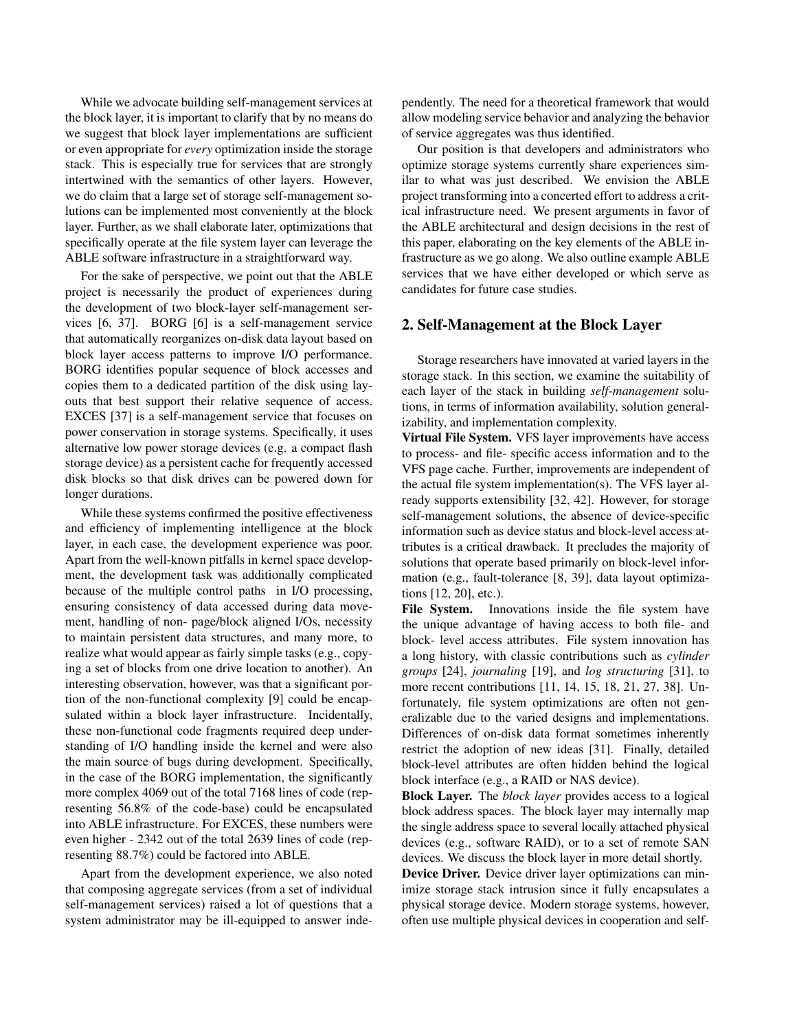While we advocate building self-management services at the block layer, it is important to clarify that by no means do we suggest that block layer implementations are sufficient or even appropriate for *every* optimization inside the storage stack. This is especially true for services that are strongly intertwined with the semantics of other layers. However, we do claim that a large set of storage self-management solutions can be implemented most conveniently at the block layer. Further, as we shall elaborate later, optimizations that specifically operate at the file system layer can leverage the ABLE software infrastructure in a straightforward way.

For the sake of perspective, we point out that the ABLE project is necessarily the product of experiences during the development of two block-layer self-management services [6, 37]. BORG [6] is a self-management service that automatically reorganizes on-disk data layout based on block layer access patterns to improve I/O performance. BORG identifies popular sequence of block accesses and copies them to a dedicated partition of the disk using layouts that best support their relative sequence of access. EXCES [37] is a self-management service that focuses on power conservation in storage systems. Specifically, it uses alternative low power storage devices (e.g. a compact flash storage device) as a persistent cache for frequently accessed disk blocks so that disk drives can be powered down for longer durations.

While these systems confirmed the positive effectiveness and efficiency of implementing intelligence at the block layer, in each case, the development experience was poor. Apart from the well-known pitfalls in kernel space development, the development task was additionally complicated because of the multiple control paths in I/O processing, ensuring consistency of data accessed during data movement, handling of non- page/block aligned I/Os, necessity to maintain persistent data structures, and many more, to realize what would appear as fairly simple tasks (e.g., copying a set of blocks from one drive location to another). An interesting observation, however, was that a significant portion of the non-functional complexity [9] could be encapsulated within a block layer infrastructure. Incidentally, these non-functional code fragments required deep understanding of I/O handling inside the kernel and were also the main source of bugs during development. Specifically, in the case of the BORG implementation, the significantly more complex 4069 out of the total 7168 lines of code (representing 56.8% of the code-base) could be encapsulated into ABLE infrastructure. For EXCES, these numbers were even higher - 2342 out of the total 2639 lines of code (representing 88.7%) could be factored into ABLE.

Apart from the development experience, we also noted that composing aggregate services (from a set of individual self-management services) raised a lot of questions that a system administrator may be ill-equipped to answer independently. The need for a theoretical framework that would allow modeling service behavior and analyzing the behavior of service aggregates was thus identified.

Our position is that developers and administrators who optimize storage systems currently share experiences similar to what was just described. We envision the ABLE project transforming into a concerted effort to address a critical infrastructure need. We present arguments in favor of the ABLE architectural and design decisions in the rest of this paper, elaborating on the key elements of the ABLE infrastructure as we go along. We also outline example ABLE services that we have either developed or which serve as candidates for future case studies.

# **2. Self-Management at the Block Layer**

Storage researchers have innovated at varied layers in the storage stack. In this section, we examine the suitability of each layer of the stack in building *self-management* solutions, in terms of information availability, solution generalizability, and implementation complexity.

**Virtual File System.** VFS layer improvements have access to process- and file- specific access information and to the VFS page cache. Further, improvements are independent of the actual file system implementation(s). The VFS layer already supports extensibility [32, 42]. However, for storage self-management solutions, the absence of device-specific information such as device status and block-level access attributes is a critical drawback. It precludes the majority of solutions that operate based primarily on block-level information (e.g., fault-tolerance [8, 39], data layout optimizations [12, 20], etc.).

**File System.** Innovations inside the file system have the unique advantage of having access to both file- and block- level access attributes. File system innovation has a long history, with classic contributions such as *cylinder groups* [24], *journaling* [19], and *log structuring* [31], to more recent contributions [11, 14, 15, 18, 21, 27, 38]. Unfortunately, file system optimizations are often not generalizable due to the varied designs and implementations. Differences of on-disk data format sometimes inherently restrict the adoption of new ideas [31]. Finally, detailed block-level attributes are often hidden behind the logical block interface (e.g., a RAID or NAS device).

**Block Layer.** The *block layer* provides access to a logical block address spaces. The block layer may internally map the single address space to several locally attached physical devices (e.g., software RAID), or to a set of remote SAN devices. We discuss the block layer in more detail shortly.

**Device Driver.** Device driver layer optimizations can minimize storage stack intrusion since it fully encapsulates a physical storage device. Modern storage systems, however, often use multiple physical devices in cooperation and self-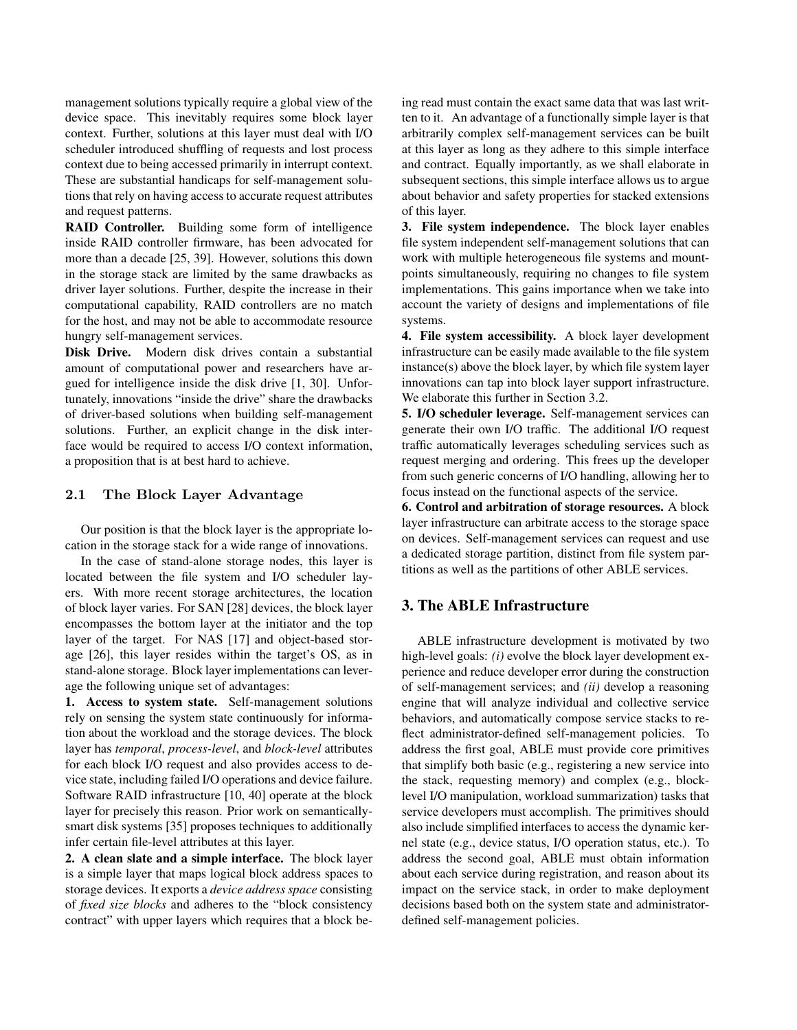management solutions typically require a global view of the device space. This inevitably requires some block layer context. Further, solutions at this layer must deal with I/O scheduler introduced shuffling of requests and lost process context due to being accessed primarily in interrupt context. These are substantial handicaps for self-management solutions that rely on having access to accurate request attributes and request patterns.

**RAID Controller.** Building some form of intelligence inside RAID controller firmware, has been advocated for more than a decade [25, 39]. However, solutions this down in the storage stack are limited by the same drawbacks as driver layer solutions. Further, despite the increase in their computational capability, RAID controllers are no match for the host, and may not be able to accommodate resource hungry self-management services.

**Disk Drive.** Modern disk drives contain a substantial amount of computational power and researchers have argued for intelligence inside the disk drive [1, 30]. Unfortunately, innovations "inside the drive" share the drawbacks of driver-based solutions when building self-management solutions. Further, an explicit change in the disk interface would be required to access I/O context information, a proposition that is at best hard to achieve.

# 2.1 The Block Layer Advantage

Our position is that the block layer is the appropriate location in the storage stack for a wide range of innovations.

In the case of stand-alone storage nodes, this layer is located between the file system and I/O scheduler layers. With more recent storage architectures, the location of block layer varies. For SAN [28] devices, the block layer encompasses the bottom layer at the initiator and the top layer of the target. For NAS [17] and object-based storage [26], this layer resides within the target's OS, as in stand-alone storage. Block layer implementations can leverage the following unique set of advantages:

**1. Access to system state.** Self-management solutions rely on sensing the system state continuously for information about the workload and the storage devices. The block layer has *temporal*, *process-level*, and *block-level* attributes for each block I/O request and also provides access to device state, including failed I/O operations and device failure. Software RAID infrastructure [10, 40] operate at the block layer for precisely this reason. Prior work on semanticallysmart disk systems [35] proposes techniques to additionally infer certain file-level attributes at this layer.

**2. A clean slate and a simple interface.** The block layer is a simple layer that maps logical block address spaces to storage devices. It exports a *device address space* consisting of *fixed size blocks* and adheres to the "block consistency contract" with upper layers which requires that a block being read must contain the exact same data that was last written to it. An advantage of a functionally simple layer is that arbitrarily complex self-management services can be built at this layer as long as they adhere to this simple interface and contract. Equally importantly, as we shall elaborate in subsequent sections, this simple interface allows us to argue about behavior and safety properties for stacked extensions of this layer.

**3. File system independence.** The block layer enables file system independent self-management solutions that can work with multiple heterogeneous file systems and mountpoints simultaneously, requiring no changes to file system implementations. This gains importance when we take into account the variety of designs and implementations of file systems.

**4. File system accessibility.** A block layer development infrastructure can be easily made available to the file system instance(s) above the block layer, by which file system layer innovations can tap into block layer support infrastructure. We elaborate this further in Section 3.2.

**5. I/O scheduler leverage.** Self-management services can generate their own I/O traffic. The additional I/O request traffic automatically leverages scheduling services such as request merging and ordering. This frees up the developer from such generic concerns of I/O handling, allowing her to focus instead on the functional aspects of the service.

**6. Control and arbitration of storage resources.** A block layer infrastructure can arbitrate access to the storage space on devices. Self-management services can request and use a dedicated storage partition, distinct from file system partitions as well as the partitions of other ABLE services.

### **3. The ABLE Infrastructure**

ABLE infrastructure development is motivated by two high-level goals: *(i)* evolve the block layer development experience and reduce developer error during the construction of self-management services; and *(ii)* develop a reasoning engine that will analyze individual and collective service behaviors, and automatically compose service stacks to reflect administrator-defined self-management policies. To address the first goal, ABLE must provide core primitives that simplify both basic (e.g., registering a new service into the stack, requesting memory) and complex (e.g., blocklevel I/O manipulation, workload summarization) tasks that service developers must accomplish. The primitives should also include simplified interfaces to access the dynamic kernel state (e.g., device status, I/O operation status, etc.). To address the second goal, ABLE must obtain information about each service during registration, and reason about its impact on the service stack, in order to make deployment decisions based both on the system state and administratordefined self-management policies.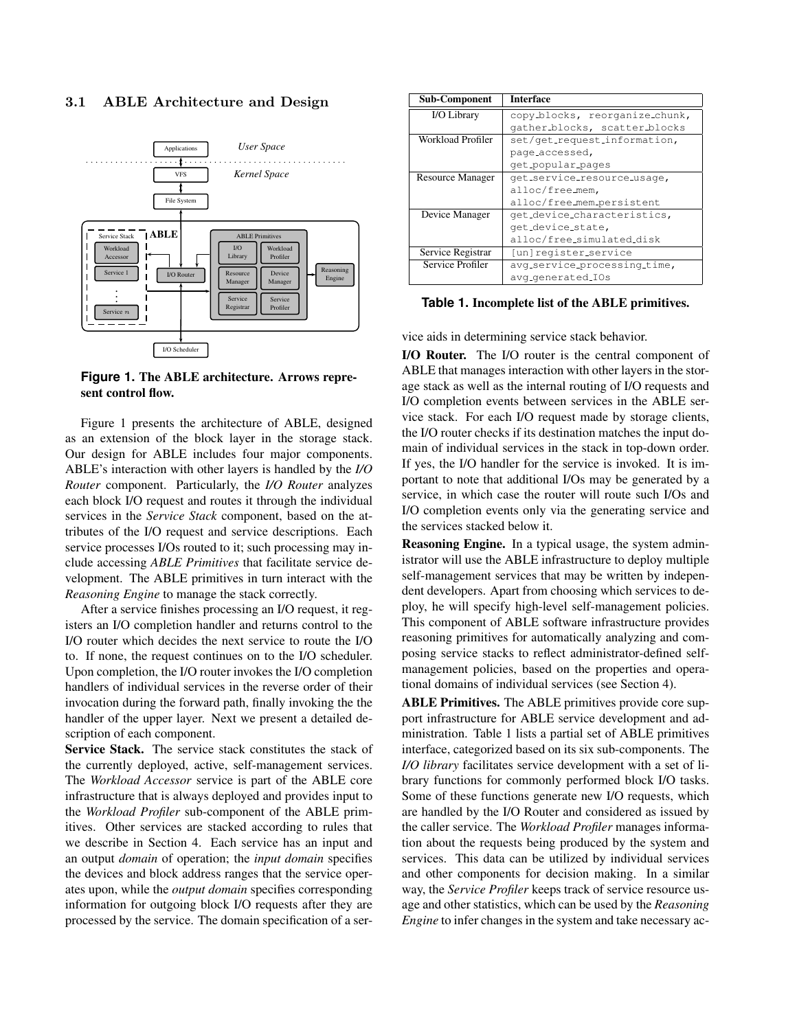#### 3.1 ABLE Architecture and Design



**Figure 1. The ABLE architecture. Arrows represent control flow.**

Figure 1 presents the architecture of ABLE, designed as an extension of the block layer in the storage stack. Our design for ABLE includes four major components. ABLE's interaction with other layers is handled by the *I/O Router* component. Particularly, the *I/O Router* analyzes each block I/O request and routes it through the individual services in the *Service Stack* component, based on the attributes of the I/O request and service descriptions. Each service processes I/Os routed to it; such processing may include accessing *ABLE Primitives* that facilitate service development. The ABLE primitives in turn interact with the *Reasoning Engine* to manage the stack correctly.

After a service finishes processing an I/O request, it registers an I/O completion handler and returns control to the I/O router which decides the next service to route the I/O to. If none, the request continues on to the I/O scheduler. Upon completion, the I/O router invokes the I/O completion handlers of individual services in the reverse order of their invocation during the forward path, finally invoking the the handler of the upper layer. Next we present a detailed description of each component.

**Service Stack.** The service stack constitutes the stack of the currently deployed, active, self-management services. The *Workload Accessor* service is part of the ABLE core infrastructure that is always deployed and provides input to the *Workload Profiler* sub-component of the ABLE primitives. Other services are stacked according to rules that we describe in Section 4. Each service has an input and an output *domain* of operation; the *input domain* specifies the devices and block address ranges that the service operates upon, while the *output domain* specifies corresponding information for outgoing block I/O requests after they are processed by the service. The domain specification of a ser-

| <b>Sub-Component</b>    | <b>Interface</b>               |
|-------------------------|--------------------------------|
| I/O Library             | copy_blocks, reorganize_chunk, |
|                         | gather_blocks, scatter_blocks  |
| Workload Profiler       | set/get_request_information,   |
|                         | page_accessed,                 |
|                         | get_popular_pages              |
| <b>Resource Manager</b> | qet_service_resource_usage,    |
|                         | alloc/free_mem,                |
|                         | alloc/free_mem_persistent      |
| Device Manager          | get_device_characteristics,    |
|                         | get_device_state,              |
|                         | alloc/free_simulated_disk      |
| Service Registrar       | [un]register_service           |
| Service Profiler        | avg_service_processing_time,   |
|                         | avg_generated_IOs              |

**Table 1. Incomplete list of the ABLE primitives.**

vice aids in determining service stack behavior.

**I/O Router.** The I/O router is the central component of ABLE that manages interaction with other layers in the storage stack as well as the internal routing of I/O requests and I/O completion events between services in the ABLE service stack. For each I/O request made by storage clients, the I/O router checks if its destination matches the input domain of individual services in the stack in top-down order. If yes, the I/O handler for the service is invoked. It is important to note that additional I/Os may be generated by a service, in which case the router will route such I/Os and I/O completion events only via the generating service and the services stacked below it.

**Reasoning Engine.** In a typical usage, the system administrator will use the ABLE infrastructure to deploy multiple self-management services that may be written by independent developers. Apart from choosing which services to deploy, he will specify high-level self-management policies. This component of ABLE software infrastructure provides reasoning primitives for automatically analyzing and composing service stacks to reflect administrator-defined selfmanagement policies, based on the properties and operational domains of individual services (see Section 4).

**ABLE Primitives.** The ABLE primitives provide core support infrastructure for ABLE service development and administration. Table 1 lists a partial set of ABLE primitives interface, categorized based on its six sub-components. The *I/O library* facilitates service development with a set of library functions for commonly performed block I/O tasks. Some of these functions generate new I/O requests, which are handled by the I/O Router and considered as issued by the caller service. The *Workload Profiler* manages information about the requests being produced by the system and services. This data can be utilized by individual services and other components for decision making. In a similar way, the *Service Profiler* keeps track of service resource usage and other statistics, which can be used by the *Reasoning Engine* to infer changes in the system and take necessary ac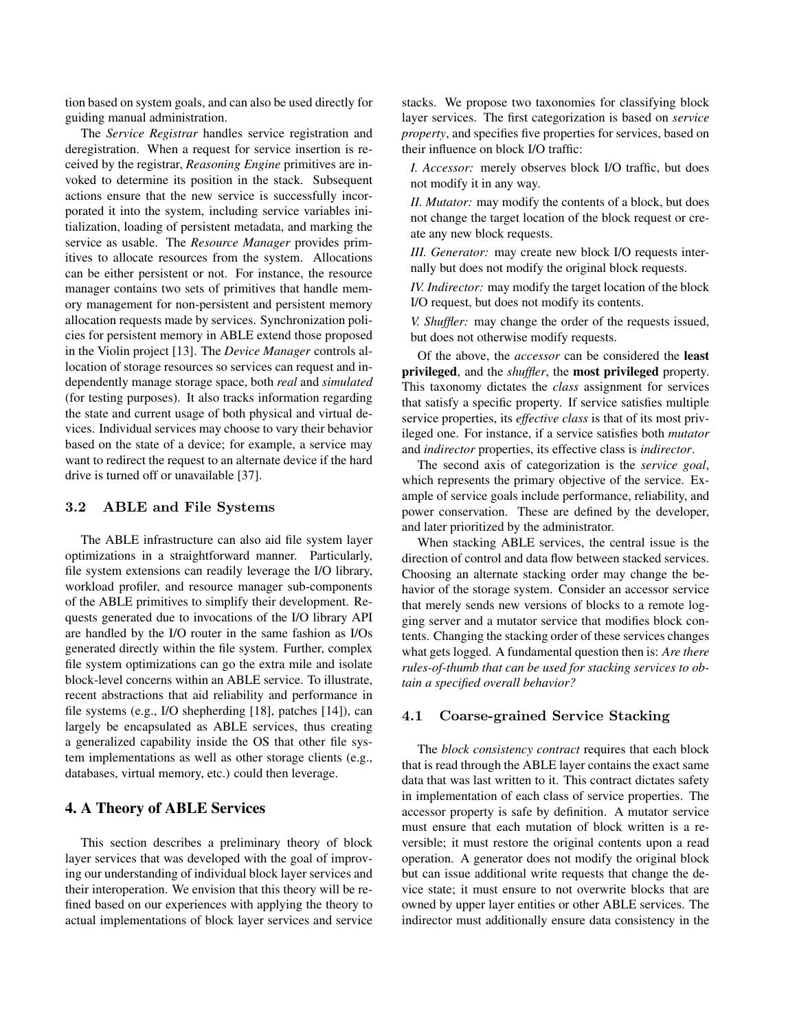tion based on system goals, and can also be used directly for guiding manual administration.

The *Service Registrar* handles service registration and deregistration. When a request for service insertion is received by the registrar, *Reasoning Engine* primitives are invoked to determine its position in the stack. Subsequent actions ensure that the new service is successfully incorporated it into the system, including service variables initialization, loading of persistent metadata, and marking the service as usable. The *Resource Manager* provides primitives to allocate resources from the system. Allocations can be either persistent or not. For instance, the resource manager contains two sets of primitives that handle memory management for non-persistent and persistent memory allocation requests made by services. Synchronization policies for persistent memory in ABLE extend those proposed in the Violin project [13]. The *Device Manager* controls allocation of storage resources so services can request and independently manage storage space, both *real* and *simulated* (for testing purposes). It also tracks information regarding the state and current usage of both physical and virtual devices. Individual services may choose to vary their behavior based on the state of a device; for example, a service may want to redirect the request to an alternate device if the hard drive is turned off or unavailable [37].

### 3.2 ABLE and File Systems

The ABLE infrastructure can also aid file system layer optimizations in a straightforward manner. Particularly, file system extensions can readily leverage the I/O library, workload profiler, and resource manager sub-components of the ABLE primitives to simplify their development. Requests generated due to invocations of the I/O library API are handled by the I/O router in the same fashion as I/Os generated directly within the file system. Further, complex file system optimizations can go the extra mile and isolate block-level concerns within an ABLE service. To illustrate, recent abstractions that aid reliability and performance in file systems (e.g., I/O shepherding [18], patches [14]), can largely be encapsulated as ABLE services, thus creating a generalized capability inside the OS that other file system implementations as well as other storage clients (e.g., databases, virtual memory, etc.) could then leverage.

# **4. A Theory of ABLE Services**

This section describes a preliminary theory of block layer services that was developed with the goal of improving our understanding of individual block layer services and their interoperation. We envision that this theory will be refined based on our experiences with applying the theory to actual implementations of block layer services and service

stacks. We propose two taxonomies for classifying block layer services. The first categorization is based on *service property*, and specifies five properties for services, based on their influence on block I/O traffic:

*I. Accessor:* merely observes block I/O traffic, but does not modify it in any way.

*II. Mutator:* may modify the contents of a block, but does not change the target location of the block request or create any new block requests.

*III. Generator:* may create new block I/O requests internally but does not modify the original block requests.

*IV. Indirector:* may modify the target location of the block I/O request, but does not modify its contents.

*V. Shuffler:* may change the order of the requests issued, but does not otherwise modify requests.

Of the above, the *accessor* can be considered the **least privileged**, and the *shuffler*, the **most privileged** property. This taxonomy dictates the *class* assignment for services that satisfy a specific property. If service satisfies multiple service properties, its *effective class* is that of its most privileged one. For instance, if a service satisfies both *mutator* and *indirector* properties, its effective class is *indirector*.

The second axis of categorization is the *service goal*, which represents the primary objective of the service. Example of service goals include performance, reliability, and power conservation. These are defined by the developer, and later prioritized by the administrator.

When stacking ABLE services, the central issue is the direction of control and data flow between stacked services. Choosing an alternate stacking order may change the behavior of the storage system. Consider an accessor service that merely sends new versions of blocks to a remote logging server and a mutator service that modifies block contents. Changing the stacking order of these services changes what gets logged. A fundamental question then is: *Are there rules-of-thumb that can be used for stacking services to obtain a specified overall behavior?*

### 4.1 Coarse-grained Service Stacking

The *block consistency contract* requires that each block that is read through the ABLE layer contains the exact same data that was last written to it. This contract dictates safety in implementation of each class of service properties. The accessor property is safe by definition. A mutator service must ensure that each mutation of block written is a reversible; it must restore the original contents upon a read operation. A generator does not modify the original block but can issue additional write requests that change the device state; it must ensure to not overwrite blocks that are owned by upper layer entities or other ABLE services. The indirector must additionally ensure data consistency in the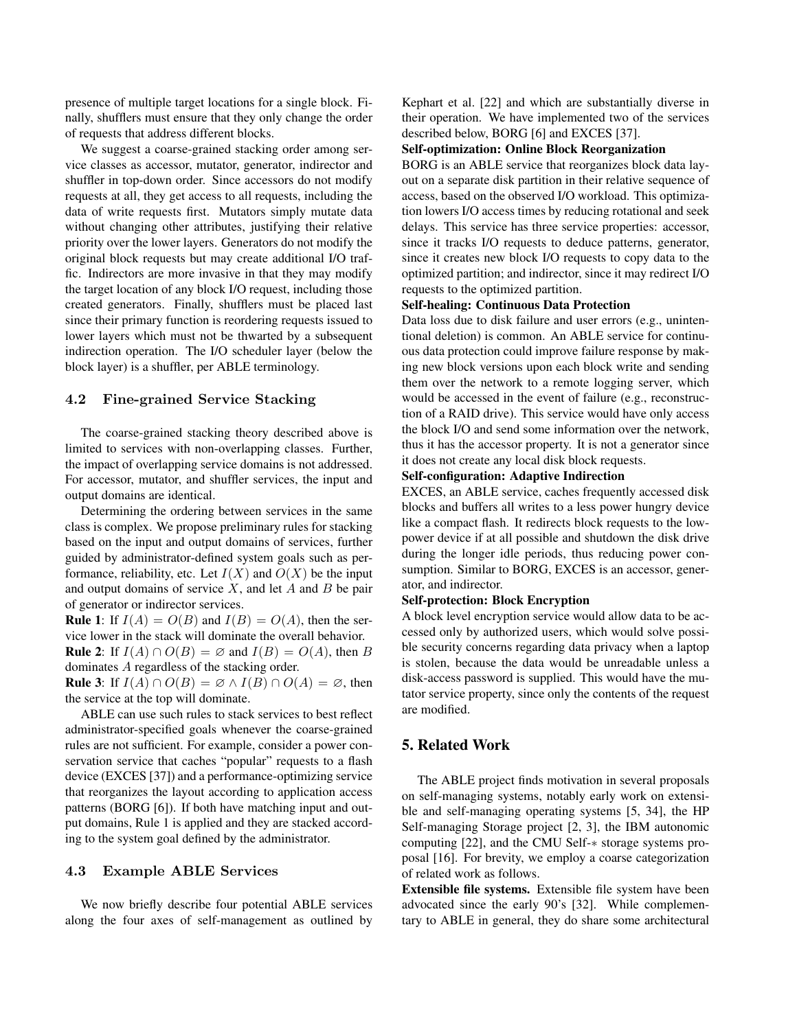presence of multiple target locations for a single block. Finally, shufflers must ensure that they only change the order of requests that address different blocks.

We suggest a coarse-grained stacking order among service classes as accessor, mutator, generator, indirector and shuffler in top-down order. Since accessors do not modify requests at all, they get access to all requests, including the data of write requests first. Mutators simply mutate data without changing other attributes, justifying their relative priority over the lower layers. Generators do not modify the original block requests but may create additional I/O traffic. Indirectors are more invasive in that they may modify the target location of any block I/O request, including those created generators. Finally, shufflers must be placed last since their primary function is reordering requests issued to lower layers which must not be thwarted by a subsequent indirection operation. The I/O scheduler layer (below the block layer) is a shuffler, per ABLE terminology.

### 4.2 Fine-grained Service Stacking

The coarse-grained stacking theory described above is limited to services with non-overlapping classes. Further, the impact of overlapping service domains is not addressed. For accessor, mutator, and shuffler services, the input and output domains are identical.

Determining the ordering between services in the same class is complex. We propose preliminary rules for stacking based on the input and output domains of services, further guided by administrator-defined system goals such as performance, reliability, etc. Let  $I(X)$  and  $O(X)$  be the input and output domains of service  $X$ , and let  $A$  and  $B$  be pair of generator or indirector services.

**Rule 1**: If  $I(A) = O(B)$  and  $I(B) = O(A)$ , then the service lower in the stack will dominate the overall behavior. **Rule 2**: If  $I(A) \cap O(B) = \emptyset$  and  $I(B) = O(A)$ , then B dominates A regardless of the stacking order.

**Rule 3:** If  $I(A) \cap O(B) = \emptyset \wedge I(B) \cap O(A) = \emptyset$ , then the service at the top will dominate.

ABLE can use such rules to stack services to best reflect administrator-specified goals whenever the coarse-grained rules are not sufficient. For example, consider a power conservation service that caches "popular" requests to a flash device (EXCES [37]) and a performance-optimizing service that reorganizes the layout according to application access patterns (BORG [6]). If both have matching input and output domains, Rule 1 is applied and they are stacked according to the system goal defined by the administrator.

#### 4.3 Example ABLE Services

We now briefly describe four potential ABLE services along the four axes of self-management as outlined by Kephart et al. [22] and which are substantially diverse in their operation. We have implemented two of the services described below, BORG [6] and EXCES [37].

#### **Self-optimization: Online Block Reorganization**

BORG is an ABLE service that reorganizes block data layout on a separate disk partition in their relative sequence of access, based on the observed I/O workload. This optimization lowers I/O access times by reducing rotational and seek delays. This service has three service properties: accessor, since it tracks I/O requests to deduce patterns, generator, since it creates new block I/O requests to copy data to the optimized partition; and indirector, since it may redirect I/O requests to the optimized partition.

#### **Self-healing: Continuous Data Protection**

Data loss due to disk failure and user errors (e.g., unintentional deletion) is common. An ABLE service for continuous data protection could improve failure response by making new block versions upon each block write and sending them over the network to a remote logging server, which would be accessed in the event of failure (e.g., reconstruction of a RAID drive). This service would have only access the block I/O and send some information over the network, thus it has the accessor property. It is not a generator since it does not create any local disk block requests.

#### **Self-configuration: Adaptive Indirection**

EXCES, an ABLE service, caches frequently accessed disk blocks and buffers all writes to a less power hungry device like a compact flash. It redirects block requests to the lowpower device if at all possible and shutdown the disk drive during the longer idle periods, thus reducing power consumption. Similar to BORG, EXCES is an accessor, generator, and indirector.

### **Self-protection: Block Encryption**

A block level encryption service would allow data to be accessed only by authorized users, which would solve possible security concerns regarding data privacy when a laptop is stolen, because the data would be unreadable unless a disk-access password is supplied. This would have the mutator service property, since only the contents of the request are modified.

### **5. Related Work**

The ABLE project finds motivation in several proposals on self-managing systems, notably early work on extensible and self-managing operating systems [5, 34], the HP Self-managing Storage project [2, 3], the IBM autonomic computing [22], and the CMU Self-∗ storage systems proposal [16]. For brevity, we employ a coarse categorization of related work as follows.

**Extensible file systems.** Extensible file system have been advocated since the early 90's [32]. While complementary to ABLE in general, they do share some architectural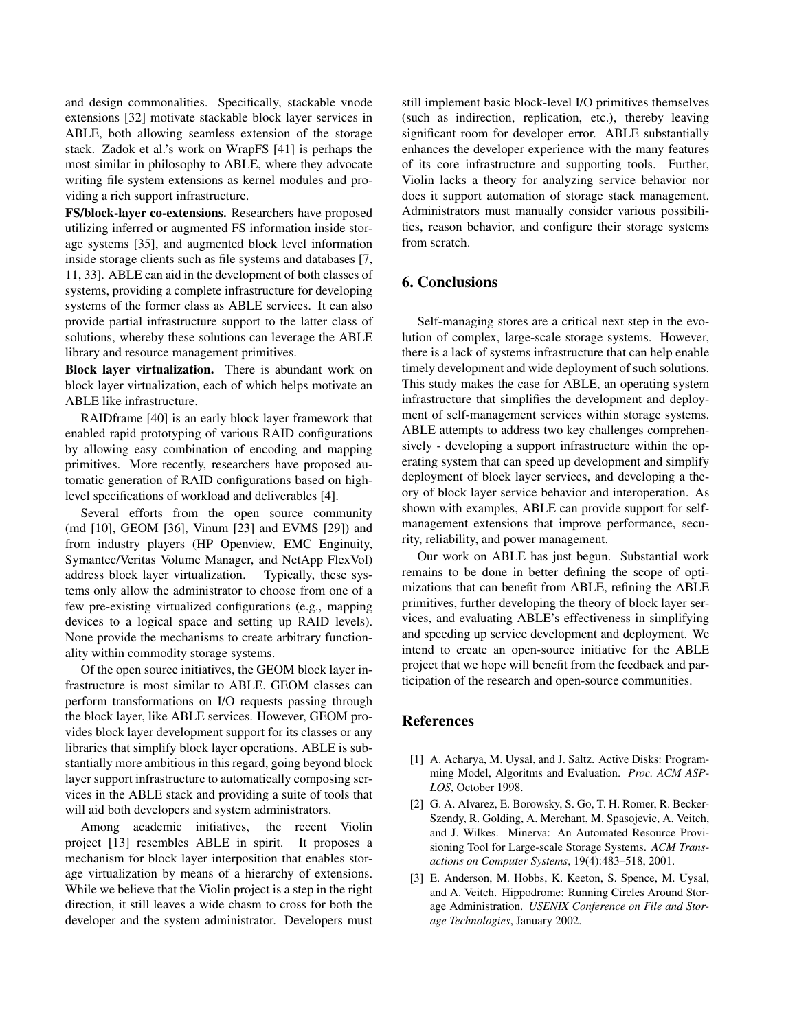and design commonalities. Specifically, stackable vnode extensions [32] motivate stackable block layer services in ABLE, both allowing seamless extension of the storage stack. Zadok et al.'s work on WrapFS [41] is perhaps the most similar in philosophy to ABLE, where they advocate writing file system extensions as kernel modules and providing a rich support infrastructure.

**FS/block-layer co-extensions.** Researchers have proposed utilizing inferred or augmented FS information inside storage systems [35], and augmented block level information inside storage clients such as file systems and databases [7, 11, 33]. ABLE can aid in the development of both classes of systems, providing a complete infrastructure for developing systems of the former class as ABLE services. It can also provide partial infrastructure support to the latter class of solutions, whereby these solutions can leverage the ABLE library and resource management primitives.

**Block layer virtualization.** There is abundant work on block layer virtualization, each of which helps motivate an ABLE like infrastructure.

RAIDframe [40] is an early block layer framework that enabled rapid prototyping of various RAID configurations by allowing easy combination of encoding and mapping primitives. More recently, researchers have proposed automatic generation of RAID configurations based on highlevel specifications of workload and deliverables [4].

Several efforts from the open source community (md [10], GEOM [36], Vinum [23] and EVMS [29]) and from industry players (HP Openview, EMC Enginuity, Symantec/Veritas Volume Manager, and NetApp FlexVol) address block layer virtualization. Typically, these systems only allow the administrator to choose from one of a few pre-existing virtualized configurations (e.g., mapping devices to a logical space and setting up RAID levels). None provide the mechanisms to create arbitrary functionality within commodity storage systems.

Of the open source initiatives, the GEOM block layer infrastructure is most similar to ABLE. GEOM classes can perform transformations on I/O requests passing through the block layer, like ABLE services. However, GEOM provides block layer development support for its classes or any libraries that simplify block layer operations. ABLE is substantially more ambitious in this regard, going beyond block layer support infrastructure to automatically composing services in the ABLE stack and providing a suite of tools that will aid both developers and system administrators.

Among academic initiatives, the recent Violin project [13] resembles ABLE in spirit. It proposes a mechanism for block layer interposition that enables storage virtualization by means of a hierarchy of extensions. While we believe that the Violin project is a step in the right direction, it still leaves a wide chasm to cross for both the developer and the system administrator. Developers must still implement basic block-level I/O primitives themselves (such as indirection, replication, etc.), thereby leaving significant room for developer error. ABLE substantially enhances the developer experience with the many features of its core infrastructure and supporting tools. Further, Violin lacks a theory for analyzing service behavior nor does it support automation of storage stack management. Administrators must manually consider various possibilities, reason behavior, and configure their storage systems from scratch.

# **6. Conclusions**

Self-managing stores are a critical next step in the evolution of complex, large-scale storage systems. However, there is a lack of systems infrastructure that can help enable timely development and wide deployment of such solutions. This study makes the case for ABLE, an operating system infrastructure that simplifies the development and deployment of self-management services within storage systems. ABLE attempts to address two key challenges comprehensively - developing a support infrastructure within the operating system that can speed up development and simplify deployment of block layer services, and developing a theory of block layer service behavior and interoperation. As shown with examples, ABLE can provide support for selfmanagement extensions that improve performance, security, reliability, and power management.

Our work on ABLE has just begun. Substantial work remains to be done in better defining the scope of optimizations that can benefit from ABLE, refining the ABLE primitives, further developing the theory of block layer services, and evaluating ABLE's effectiveness in simplifying and speeding up service development and deployment. We intend to create an open-source initiative for the ABLE project that we hope will benefit from the feedback and participation of the research and open-source communities.

#### **References**

- [1] A. Acharya, M. Uysal, and J. Saltz. Active Disks: Programming Model, Algoritms and Evaluation. *Proc. ACM ASP-LOS*, October 1998.
- [2] G. A. Alvarez, E. Borowsky, S. Go, T. H. Romer, R. Becker-Szendy, R. Golding, A. Merchant, M. Spasojevic, A. Veitch, and J. Wilkes. Minerva: An Automated Resource Provisioning Tool for Large-scale Storage Systems. *ACM Transactions on Computer Systems*, 19(4):483–518, 2001.
- [3] E. Anderson, M. Hobbs, K. Keeton, S. Spence, M. Uysal, and A. Veitch. Hippodrome: Running Circles Around Storage Administration. *USENIX Conference on File and Storage Technologies*, January 2002.